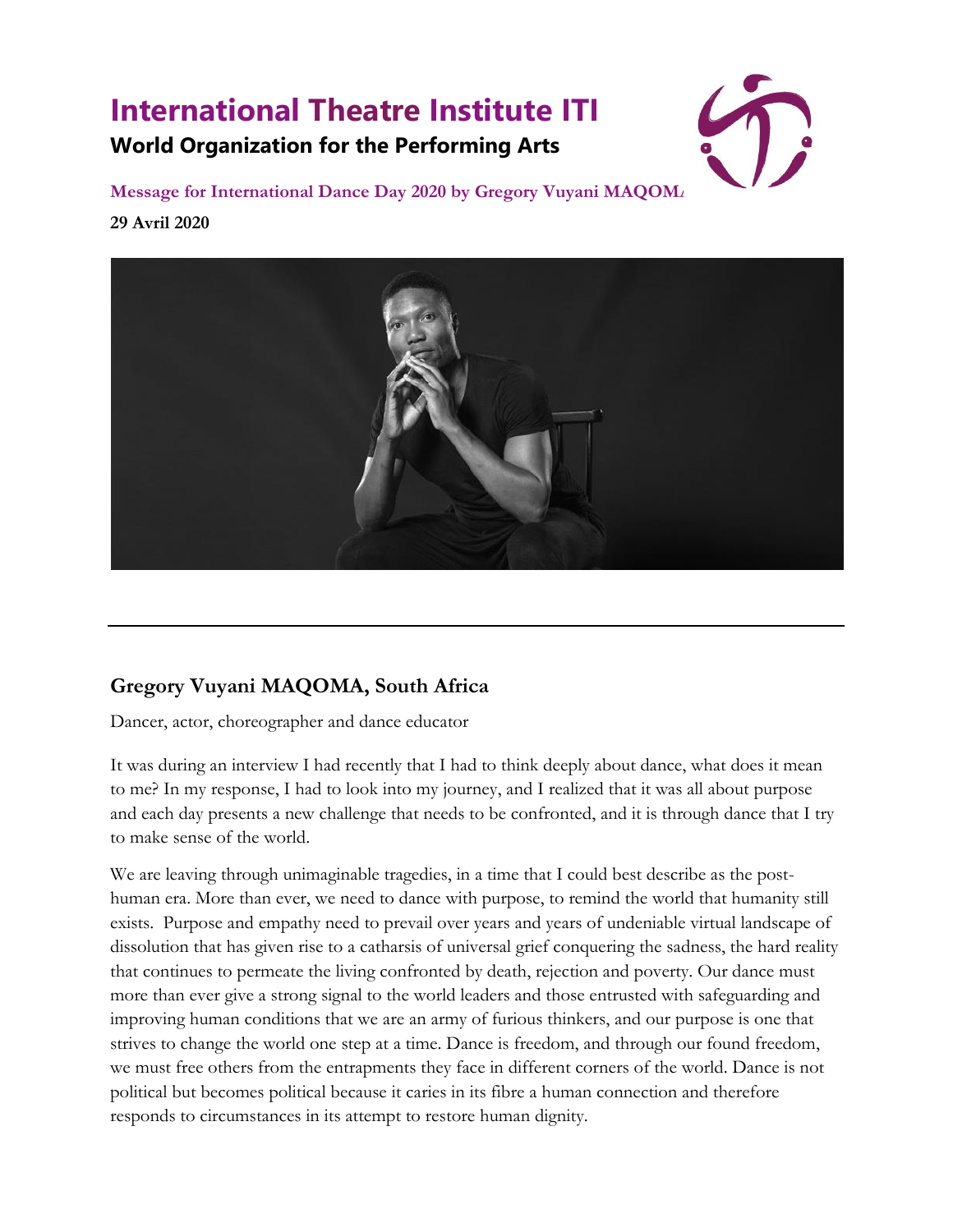## **International Theatre Institute ITI World Organization for the Performing Arts**



**Message for International Dance Day 2020 by Gregory Vuyani MAQOM** 

**29 Avril 2020**



## **Gregory Vuyani MAQOMA, South Africa**

Dancer, actor, choreographer and dance educator

It was during an interview I had recently that I had to think deeply about dance, what does it mean to me? In my response, I had to look into my journey, and I realized that it was all about purpose and each day presents a new challenge that needs to be confronted, and it is through dance that I try to make sense of the world.

We are leaving through unimaginable tragedies, in a time that I could best describe as the posthuman era. More than ever, we need to dance with purpose, to remind the world that humanity still exists. Purpose and empathy need to prevail over years and years of undeniable virtual landscape of dissolution that has given rise to a catharsis of universal grief conquering the sadness, the hard reality that continues to permeate the living confronted by death, rejection and poverty. Our dance must more than ever give a strong signal to the world leaders and those entrusted with safeguarding and improving human conditions that we are an army of furious thinkers, and our purpose is one that strives to change the world one step at a time. Dance is freedom, and through our found freedom, we must free others from the entrapments they face in different corners of the world. Dance is not political but becomes political because it caries in its fibre a human connection and therefore responds to circumstances in its attempt to restore human dignity.